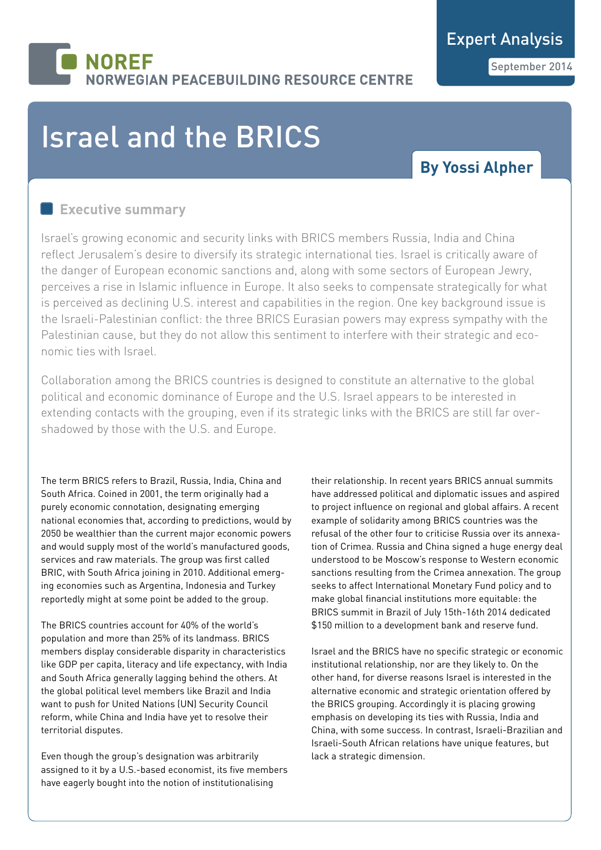## **NOREF RWEGIAN PEACEBUILDING RESOURCE CENTRE**

# Israel and the BRICS

## **By Yossi Alpher**

### **Executive summary**

Israel's growing economic and security links with BRICS members Russia, India and China reflect Jerusalem's desire to diversify its strategic international ties. Israel is critically aware of the danger of European economic sanctions and, along with some sectors of European Jewry, perceives a rise in Islamic influence in Europe. It also seeks to compensate strategically for what is perceived as declining U.S. interest and capabilities in the region. One key background issue is the Israeli-Palestinian conflict: the three BRICS Eurasian powers may express sympathy with the Palestinian cause, but they do not allow this sentiment to interfere with their strategic and economic ties with Israel.

Collaboration among the BRICS countries is designed to constitute an alternative to the global political and economic dominance of Europe and the U.S. Israel appears to be interested in extending contacts with the grouping, even if its strategic links with the BRICS are still far overshadowed by those with the U.S. and Europe.

The term BRICS refers to Brazil, Russia, India, China and South Africa. Coined in 2001, the term originally had a purely economic connotation, designating emerging national economies that, according to predictions, would by 2050 be wealthier than the current major economic powers and would supply most of the world's manufactured goods, services and raw materials. The group was first called BRIC, with South Africa joining in 2010. Additional emerging economies such as Argentina, Indonesia and Turkey reportedly might at some point be added to the group.

The BRICS countries account for 40% of the world's population and more than 25% of its landmass. BRICS members display considerable disparity in characteristics like GDP per capita, literacy and life expectancy, with India and South Africa generally lagging behind the others. At the global political level members like Brazil and India want to push for United Nations (UN) Security Council reform, while China and India have yet to resolve their territorial disputes.

Even though the group's designation was arbitrarily assigned to it by a U.S.-based economist, its five members have eagerly bought into the notion of institutionalising

their relationship. In recent years BRICS annual summits have addressed political and diplomatic issues and aspired to project influence on regional and global affairs. A recent example of solidarity among BRICS countries was the refusal of the other four to criticise Russia over its annexation of Crimea. Russia and China signed a huge energy deal understood to be Moscow's response to Western economic sanctions resulting from the Crimea annexation. The group seeks to affect International Monetary Fund policy and to make global financial institutions more equitable: the BRICS summit in Brazil of July 15th-16th 2014 dedicated \$150 million to a development bank and reserve fund.

Israel and the BRICS have no specific strategic or economic institutional relationship, nor are they likely to. On the other hand, for diverse reasons Israel is interested in the alternative economic and strategic orientation offered by the BRICS grouping. Accordingly it is placing growing emphasis on developing its ties with Russia, India and China, with some success. In contrast, Israeli-Brazilian and Israeli-South African relations have unique features, but lack a strategic dimension.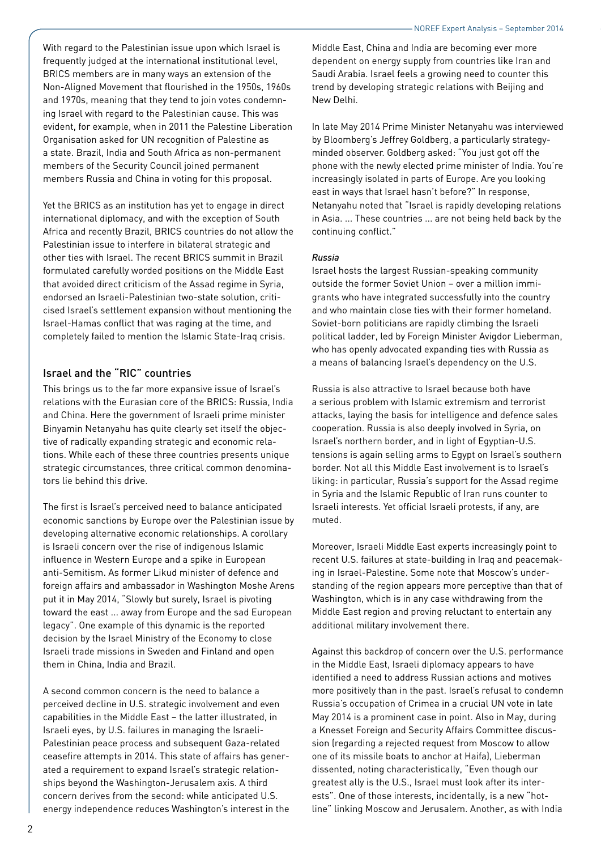With regard to the Palestinian issue upon which Israel is frequently judged at the international institutional level, BRICS members are in many ways an extension of the Non-Aligned Movement that flourished in the 1950s, 1960s and 1970s, meaning that they tend to join votes condemning Israel with regard to the Palestinian cause. This was evident, for example, when in 2011 the Palestine Liberation Organisation asked for UN recognition of Palestine as a state. Brazil, India and South Africa as non-permanent members of the Security Council joined permanent members Russia and China in voting for this proposal.

Yet the BRICS as an institution has yet to engage in direct international diplomacy, and with the exception of South Africa and recently Brazil, BRICS countries do not allow the Palestinian issue to interfere in bilateral strategic and other ties with Israel. The recent BRICS summit in Brazil formulated carefully worded positions on the Middle East that avoided direct criticism of the Assad regime in Syria, endorsed an Israeli-Palestinian two-state solution, criticised Israel's settlement expansion without mentioning the Israel-Hamas conflict that was raging at the time, and completely failed to mention the Islamic State-Iraq crisis.

#### Israel and the "RIC" countries

This brings us to the far more expansive issue of Israel's relations with the Eurasian core of the BRICS: Russia, India and China. Here the government of Israeli prime minister Binyamin Netanyahu has quite clearly set itself the objective of radically expanding strategic and economic relations. While each of these three countries presents unique strategic circumstances, three critical common denominators lie behind this drive.

The first is Israel's perceived need to balance anticipated economic sanctions by Europe over the Palestinian issue by developing alternative economic relationships. A corollary is Israeli concern over the rise of indigenous Islamic influence in Western Europe and a spike in European anti-Semitism. As former Likud minister of defence and foreign affairs and ambassador in Washington Moshe Arens put it in May 2014, "Slowly but surely, Israel is pivoting toward the east ... away from Europe and the sad European legacy". One example of this dynamic is the reported decision by the Israel Ministry of the Economy to close Israeli trade missions in Sweden and Finland and open them in China, India and Brazil.

A second common concern is the need to balance a perceived decline in U.S. strategic involvement and even capabilities in the Middle East – the latter illustrated, in Israeli eyes, by U.S. failures in managing the Israeli-Palestinian peace process and subsequent Gaza-related ceasefire attempts in 2014. This state of affairs has generated a requirement to expand Israel's strategic relationships beyond the Washington-Jerusalem axis. A third concern derives from the second: while anticipated U.S. energy independence reduces Washington's interest in the

Middle East, China and India are becoming ever more dependent on energy supply from countries like Iran and Saudi Arabia. Israel feels a growing need to counter this trend by developing strategic relations with Beijing and New Delhi.

In late May 2014 Prime Minister Netanyahu was interviewed by Bloomberg's Jeffrey Goldberg, a particularly strategyminded observer. Goldberg asked: "You just got off the phone with the newly elected prime minister of India. You're increasingly isolated in parts of Europe. Are you looking east in ways that Israel hasn't before?" In response, Netanyahu noted that "Israel is rapidly developing relations in Asia. ... These countries ... are not being held back by the continuing conflict."

#### *Russia*

Israel hosts the largest Russian-speaking community outside the former Soviet Union – over a million immigrants who have integrated successfully into the country and who maintain close ties with their former homeland. Soviet-born politicians are rapidly climbing the Israeli political ladder, led by Foreign Minister Avigdor Lieberman, who has openly advocated expanding ties with Russia as a means of balancing Israel's dependency on the U.S.

Russia is also attractive to Israel because both have a serious problem with Islamic extremism and terrorist attacks, laying the basis for intelligence and defence sales cooperation. Russia is also deeply involved in Syria, on Israel's northern border, and in light of Egyptian-U.S. tensions is again selling arms to Egypt on Israel's southern border. Not all this Middle East involvement is to Israel's liking: in particular, Russia's support for the Assad regime in Syria and the Islamic Republic of Iran runs counter to Israeli interests. Yet official Israeli protests, if any, are muted.

Moreover, Israeli Middle East experts increasingly point to recent U.S. failures at state-building in Iraq and peacemaking in Israel-Palestine. Some note that Moscow's understanding of the region appears more perceptive than that of Washington, which is in any case withdrawing from the Middle East region and proving reluctant to entertain any additional military involvement there.

Against this backdrop of concern over the U.S. performance in the Middle East, Israeli diplomacy appears to have identified a need to address Russian actions and motives more positively than in the past. Israel's refusal to condemn Russia's occupation of Crimea in a crucial UN vote in late May 2014 is a prominent case in point. Also in May, during a Knesset Foreign and Security Affairs Committee discussion (regarding a rejected request from Moscow to allow one of its missile boats to anchor at Haifa), Lieberman dissented, noting characteristically, "Even though our greatest ally is the U.S., Israel must look after its interests". One of those interests, incidentally, is a new "hotline" linking Moscow and Jerusalem. Another, as with India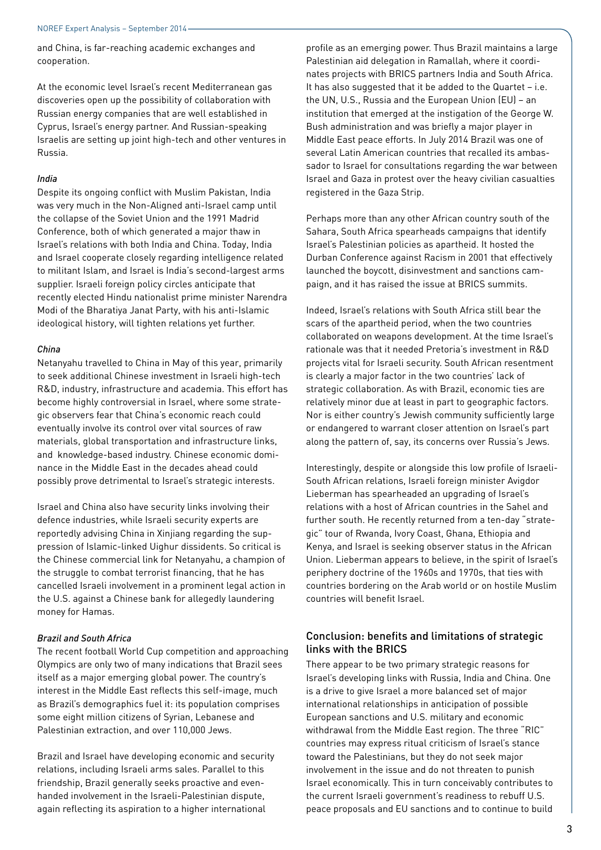and China, is far-reaching academic exchanges and cooperation.

At the economic level Israel's recent Mediterranean gas discoveries open up the possibility of collaboration with Russian energy companies that are well established in Cyprus, Israel's energy partner. And Russian-speaking Israelis are setting up joint high-tech and other ventures in Russia.

#### *India*

Despite its ongoing conflict with Muslim Pakistan, India was very much in the Non-Aligned anti-Israel camp until the collapse of the Soviet Union and the 1991 Madrid Conference, both of which generated a major thaw in Israel's relations with both India and China. Today, India and Israel cooperate closely regarding intelligence related to militant Islam, and Israel is India's second-largest arms supplier. Israeli foreign policy circles anticipate that recently elected Hindu nationalist prime minister Narendra Modi of the Bharatiya Janat Party, with his anti-Islamic ideological history, will tighten relations yet further.

#### *China*

Netanyahu travelled to China in May of this year, primarily to seek additional Chinese investment in Israeli high-tech R&D, industry, infrastructure and academia. This effort has become highly controversial in Israel, where some strategic observers fear that China's economic reach could eventually involve its control over vital sources of raw materials, global transportation and infrastructure links, and knowledge-based industry. Chinese economic dominance in the Middle East in the decades ahead could possibly prove detrimental to Israel's strategic interests.

Israel and China also have security links involving their defence industries, while Israeli security experts are reportedly advising China in Xinjiang regarding the suppression of Islamic-linked Uighur dissidents. So critical is the Chinese commercial link for Netanyahu, a champion of the struggle to combat terrorist financing, that he has cancelled Israeli involvement in a prominent legal action in the U.S. against a Chinese bank for allegedly laundering money for Hamas.

#### *Brazil and South Africa*

The recent football World Cup competition and approaching Olympics are only two of many indications that Brazil sees itself as a major emerging global power. The country's interest in the Middle East reflects this self-image, much as Brazil's demographics fuel it: its population comprises some eight million citizens of Syrian, Lebanese and Palestinian extraction, and over 110,000 Jews.

Brazil and Israel have developing economic and security relations, including Israeli arms sales. Parallel to this friendship, Brazil generally seeks proactive and evenhanded involvement in the Israeli-Palestinian dispute, again reflecting its aspiration to a higher international

profile as an emerging power. Thus Brazil maintains a large Palestinian aid delegation in Ramallah, where it coordinates projects with BRICS partners India and South Africa. It has also suggested that it be added to the Quartet – i.e. the UN, U.S., Russia and the European Union (EU) – an institution that emerged at the instigation of the George W. Bush administration and was briefly a major player in Middle East peace efforts. In July 2014 Brazil was one of several Latin American countries that recalled its ambassador to Israel for consultations regarding the war between Israel and Gaza in protest over the heavy civilian casualties registered in the Gaza Strip.

Perhaps more than any other African country south of the Sahara, South Africa spearheads campaigns that identify Israel's Palestinian policies as apartheid. It hosted the Durban Conference against Racism in 2001 that effectively launched the boycott, disinvestment and sanctions campaign, and it has raised the issue at BRICS summits.

Indeed, Israel's relations with South Africa still bear the scars of the apartheid period, when the two countries collaborated on weapons development. At the time Israel's rationale was that it needed Pretoria's investment in R&D projects vital for Israeli security. South African resentment is clearly a major factor in the two countries' lack of strategic collaboration. As with Brazil, economic ties are relatively minor due at least in part to geographic factors. Nor is either country's Jewish community sufficiently large or endangered to warrant closer attention on Israel's part along the pattern of, say, its concerns over Russia's Jews.

Interestingly, despite or alongside this low profile of Israeli-South African relations, Israeli foreign minister Avigdor Lieberman has spearheaded an upgrading of Israel's relations with a host of African countries in the Sahel and further south. He recently returned from a ten-day "strategic" tour of Rwanda, Ivory Coast, Ghana, Ethiopia and Kenya, and Israel is seeking observer status in the African Union. Lieberman appears to believe, in the spirit of Israel's periphery doctrine of the 1960s and 1970s, that ties with countries bordering on the Arab world or on hostile Muslim countries will benefit Israel.

#### Conclusion: benefits and limitations of strategic links with the BRICS

There appear to be two primary strategic reasons for Israel's developing links with Russia, India and China. One is a drive to give Israel a more balanced set of major international relationships in anticipation of possible European sanctions and U.S. military and economic withdrawal from the Middle East region. The three "RIC" countries may express ritual criticism of Israel's stance toward the Palestinians, but they do not seek major involvement in the issue and do not threaten to punish Israel economically. This in turn conceivably contributes to the current Israeli government's readiness to rebuff U.S. peace proposals and EU sanctions and to continue to build